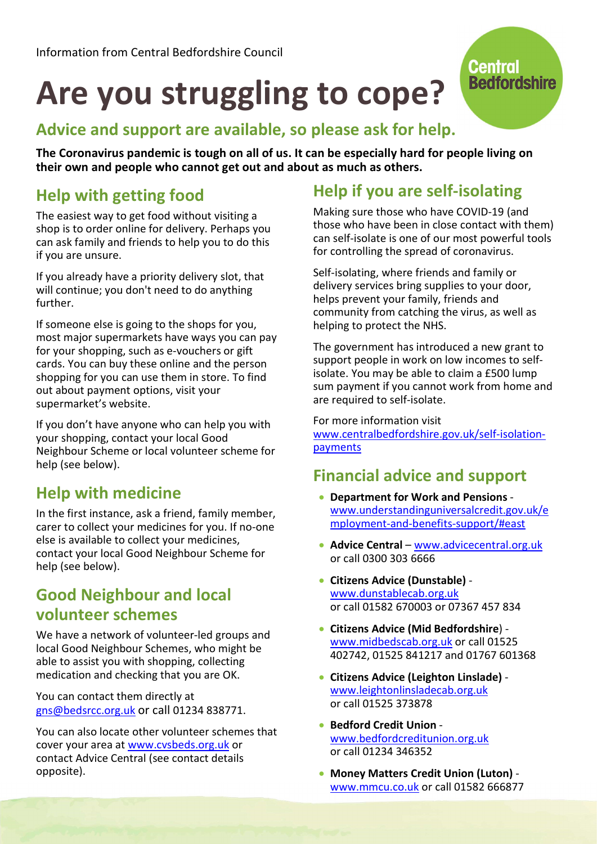# Are you struggling to cope?

## Advice and support are available, so please ask for help.

The Coronavirus pandemic is tough on all of us. It can be especially hard for people living on their own and people who cannot get out and about as much as others.

# Help with getting food

The easiest way to get food without visiting a shop is to order online for delivery. Perhaps you can ask family and friends to help you to do this if you are unsure.

If you already have a priority delivery slot, that will continue; you don't need to do anything further.

If someone else is going to the shops for you, most major supermarkets have ways you can pay for your shopping, such as e-vouchers or gift cards. You can buy these online and the person shopping for you can use them in store. To find out about payment options, visit your supermarket's website.

If you don't have anyone who can help you with your shopping, contact your local Good Neighbour Scheme or local volunteer scheme for help (see below).

#### Help with medicine

In the first instance, ask a friend, family member, carer to collect your medicines for you. If no-one else is available to collect your medicines, contact your local Good Neighbour Scheme for help (see below).

#### Good Neighbour and local volunteer schemes

We have a network of volunteer-led groups and local Good Neighbour Schemes, who might be able to assist you with shopping, collecting medication and checking that you are OK.

You can contact them directly at gns@bedsrcc.org.uk or call 01234 838771.

You can also locate other volunteer schemes that cover your area at www.cvsbeds.org.uk or contact Advice Central (see contact details opposite).

# Help if you are self-isolating

Making sure those who have COVID-19 (and those who have been in close contact with them) can self-isolate is one of our most powerful tools for controlling the spread of coronavirus.

**Central** 

**Bedfordshire** 

Self-isolating, where friends and family or delivery services bring supplies to your door, helps prevent your family, friends and community from catching the virus, as well as helping to protect the NHS.

The government has introduced a new grant to support people in work on low incomes to selfisolate. You may be able to claim a £500 lump sum payment if you cannot work from home and are required to self-isolate.

For more information visit www.centralbedfordshire.gov.uk/self-isolationpayments

#### Financial advice and support

- Department for Work and Pensions www.understandinguniversalcredit.gov.uk/e mployment-and-benefits-support/#east
- Advice Central www.advicecentral.org.uk or call 0300 303 6666
- Citizens Advice (Dunstable) www.dunstablecab.org.uk or call 01582 670003 or 07367 457 834
- Citizens Advice (Mid Bedfordshire) www.midbedscab.org.uk or call 01525 402742, 01525 841217 and 01767 601368
- Citizens Advice (Leighton Linslade) www.leightonlinsladecab.org.uk or call 01525 373878
- Bedford Credit Union www.bedfordcreditunion.org.uk or call 01234 346352
- Money Matters Credit Union (Luton) www.mmcu.co.uk or call 01582 666877